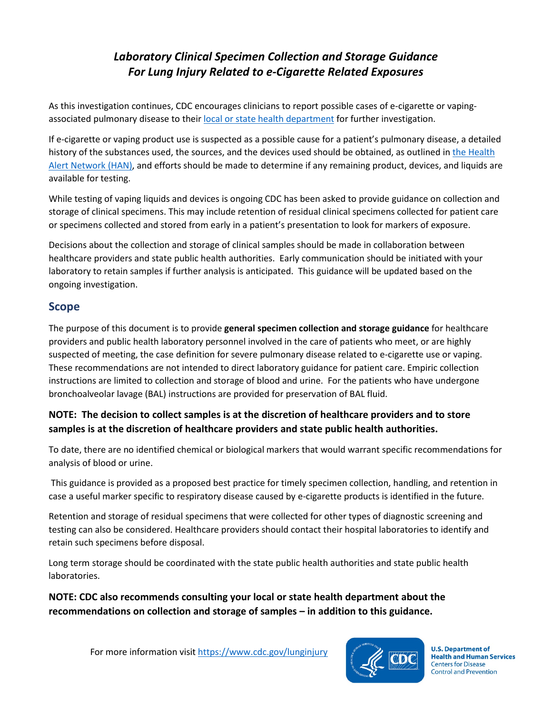# *Laboratory Clinical Specimen Collection and Storage Guidance For Lung Injury Related to e-Cigarette Related Exposures*

As this investigation continues, CDC encourages clinicians to report possible cases of e-cigarette or vapingassociated pulmonary disease to their [local or state health department](https://healthfinder.gov/FindServices/SearchContext.aspx?show=1&topic=820) for further investigation.

If e-cigarette or vaping product use is suspected as a possible cause for a patient's pulmonary disease, a detailed history of the substances used, the sources, and the devices used should be obtained, as outlined in the Health [Alert Network \(HAN\),](https://emergency.cdc.gov/han/han00421.asp) and efforts should be made to determine if any remaining product, devices, and liquids are available for testing.

While testing of vaping liquids and devices is ongoing CDC has been asked to provide guidance on collection and storage of clinical specimens. This may include retention of residual clinical specimens collected for patient care or specimens collected and stored from early in a patient's presentation to look for markers of exposure.

Decisions about the collection and storage of clinical samples should be made in collaboration between healthcare providers and state public health authorities. Early communication should be initiated with your laboratory to retain samples if further analysis is anticipated. This guidance will be updated based on the ongoing investigation.

## **Scope**

The purpose of this document is to provide **general specimen collection and storage guidance** for healthcare providers and public health laboratory personnel involved in the care of patients who meet, or are highly suspected of meeting, the case definition for severe pulmonary disease related to e-cigarette use or vaping. These recommendations are not intended to direct laboratory guidance for patient care. Empiric collection instructions are limited to collection and storage of blood and urine. For the patients who have undergone bronchoalveolar lavage (BAL) instructions are provided for preservation of BAL fluid.

### **NOTE: The decision to collect samples is at the discretion of healthcare providers and to store samples is at the discretion of healthcare providers and state public health authorities.**

To date, there are no identified chemical or biological markers that would warrant specific recommendations for analysis of blood or urine.

This guidance is provided as a proposed best practice for timely specimen collection, handling, and retention in case a useful marker specific to respiratory disease caused by e-cigarette products is identified in the future.

Retention and storage of residual specimens that were collected for other types of diagnostic screening and testing can also be considered. Healthcare providers should contact their hospital laboratories to identify and retain such specimens before disposal.

Long term storage should be coordinated with the state public health authorities and state public health laboratories.

**NOTE: CDC also recommends consulting your local or state health department about the recommendations on collection and storage of samples – in addition to this guidance.**



**U.S. Department of Health and Human Services Centers for Disease Control and Prevention**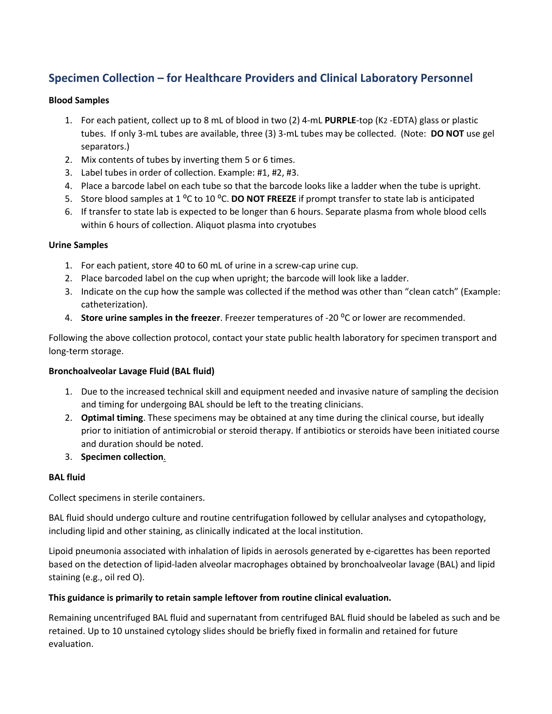## **Specimen Collection – for Healthcare Providers and Clinical Laboratory Personnel**

#### **Blood Samples**

- 1. For each patient, collect up to 8 mL of blood in two (2) 4-mL **PURPLE**-top (K2 -EDTA) glass or plastic tubes. If only 3-mL tubes are available, three (3) 3-mL tubes may be collected. (Note: **DO NOT** use gel separators.)
- 2. Mix contents of tubes by inverting them 5 or 6 times.
- 3. Label tubes in order of collection. Example: #1, #2, #3.
- 4. Place a barcode label on each tube so that the barcode looks like a ladder when the tube is upright.
- 5. Store blood samples at 1 <sup>o</sup>C to 10 <sup>o</sup>C. **DO NOT FREEZE** if prompt transfer to state lab is anticipated
- 6. If transfer to state lab is expected to be longer than 6 hours. Separate plasma from whole blood cells within 6 hours of collection. Aliquot plasma into cryotubes

#### **Urine Samples**

- 1. For each patient, store 40 to 60 mL of urine in a screw-cap urine cup.
- 2. Place barcoded label on the cup when upright; the barcode will look like a ladder.
- 3. Indicate on the cup how the sample was collected if the method was other than "clean catch" (Example: catheterization).
- 4. **Store urine samples in the freezer**. Freezer temperatures of -20 ⁰C or lower are recommended.

Following the above collection protocol, contact your state public health laboratory for specimen transport and long-term storage.

#### **Bronchoalveolar Lavage Fluid (BAL fluid)**

- 1. Due to the increased technical skill and equipment needed and invasive nature of sampling the decision and timing for undergoing BAL should be left to the treating clinicians.
- 2. **Optimal timing**. These specimens may be obtained at any time during the clinical course, but ideally prior to initiation of antimicrobial or steroid therapy. If antibiotics or steroids have been initiated course and duration should be noted.
- 3. **Specimen collection**.

#### **BAL fluid**

Collect specimens in sterile containers.

BAL fluid should undergo culture and routine centrifugation followed by cellular analyses and cytopathology, including lipid and other staining, as clinically indicated at the local institution.

Lipoid pneumonia associated with inhalation of lipids in aerosols generated by e-cigarettes has been reported based on the detection of lipid-laden alveolar macrophages obtained by bronchoalveolar lavage (BAL) and lipid staining (e.g., oil red O).

#### **This guidance is primarily to retain sample leftover from routine clinical evaluation.**

Remaining uncentrifuged BAL fluid and supernatant from centrifuged BAL fluid should be labeled as such and be retained. Up to 10 unstained cytology slides should be briefly fixed in formalin and retained for future evaluation.